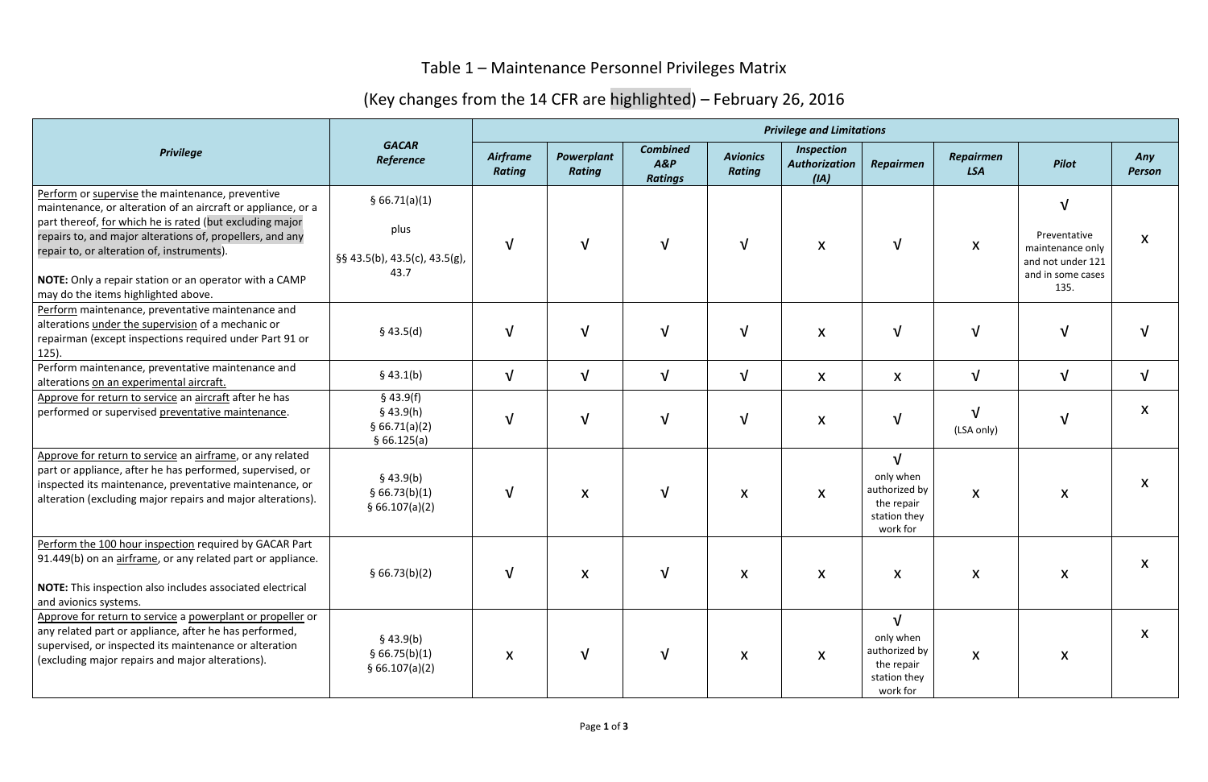## Table 1 – Maintenance Personnel Privileges Matrix

## (Key changes from the 14 CFR are highlighted) – February 26, 2016

| <b>Privilege</b>                                                                                                                                                                                                                                                                                                                                                                         | <b>GACAR</b><br>Reference                                      | <b>Privilege and Limitations</b> |                             |                                          |                                  |                                                   |                                                                                    |                           |                                                                                         |                           |
|------------------------------------------------------------------------------------------------------------------------------------------------------------------------------------------------------------------------------------------------------------------------------------------------------------------------------------------------------------------------------------------|----------------------------------------------------------------|----------------------------------|-----------------------------|------------------------------------------|----------------------------------|---------------------------------------------------|------------------------------------------------------------------------------------|---------------------------|-----------------------------------------------------------------------------------------|---------------------------|
|                                                                                                                                                                                                                                                                                                                                                                                          |                                                                | Airframe<br><b>Rating</b>        | Powerplant<br><b>Rating</b> | <b>Combined</b><br>A&P<br><b>Ratings</b> | <b>Avionics</b><br><b>Rating</b> | <b>Inspection</b><br><b>Authorization</b><br>(IA) | <b>Repairmen</b>                                                                   | Repairmen<br><b>LSA</b>   | <b>Pilot</b>                                                                            | Any<br><b>Person</b>      |
| Perform or supervise the maintenance, preventive<br>maintenance, or alteration of an aircraft or appliance, or a<br>part thereof, for which he is rated (but excluding major<br>repairs to, and major alterations of, propellers, and any<br>repair to, or alteration of, instruments).<br>NOTE: Only a repair station or an operator with a CAMP<br>may do the items highlighted above. | § 66.71(a)(1)<br>plus<br>§§ 43.5(b), 43.5(c), 43.5(g),<br>43.7 | $\sqrt{ }$                       | V                           | $\sqrt{ }$                               | $\mathbf{V}$                     | $\boldsymbol{\mathsf{X}}$                         | $\sqrt{ }$                                                                         | $\boldsymbol{\mathsf{X}}$ | N<br>Preventative<br>maintenance only<br>and not under 121<br>and in some cases<br>135. | $\boldsymbol{\mathsf{X}}$ |
| Perform maintenance, preventative maintenance and<br>alterations under the supervision of a mechanic or<br>repairman (except inspections required under Part 91 or<br>$125$ ).                                                                                                                                                                                                           | \$43.5(d)                                                      | $\sqrt{ }$                       | $\sqrt{}$                   | $\sqrt{ }$                               | $\sqrt{ }$                       | $\boldsymbol{\mathsf{X}}$                         | $\sqrt{ }$                                                                         | $\sqrt{ }$                | $\sqrt{ }$                                                                              |                           |
| Perform maintenance, preventative maintenance and<br>alterations on an experimental aircraft.                                                                                                                                                                                                                                                                                            | \$43.1(b)                                                      | $\sqrt{ }$                       | $\sqrt{}$                   | $\sqrt{ }$                               | $\sqrt{ }$                       | X                                                 | X                                                                                  | $\sqrt{ }$                | $\sqrt{ }$                                                                              | $\sqrt{ }$                |
| Approve for return to service an aircraft after he has<br>performed or supervised preventative maintenance.                                                                                                                                                                                                                                                                              | \$43.9(f)<br>$§$ 43.9(h)<br>§ 66.71(a)(2)<br>§66.125(a)        | $\sqrt{ }$                       | $\sqrt{}$                   | $\sqrt{ }$                               | $\sqrt{ }$                       | $\boldsymbol{\mathsf{X}}$                         | $\sqrt{ }$                                                                         | $\sqrt{ }$<br>(LSA only)  | $\sqrt{}$                                                                               | X                         |
| Approve for return to service an airframe, or any related<br>part or appliance, after he has performed, supervised, or<br>inspected its maintenance, preventative maintenance, or<br>alteration (excluding major repairs and major alterations).                                                                                                                                         | \$43.9(b)<br>§ 66.73(b)(1)<br>§ 66.107(a)(2)                   | $\sqrt{ }$                       | $\pmb{\mathsf{X}}$          | $\sqrt{ }$                               | X                                | $\boldsymbol{\mathsf{X}}$                         | $\sqrt{ }$<br>only when<br>authorized by<br>the repair<br>station they<br>work for | $\boldsymbol{\mathsf{X}}$ | $\boldsymbol{\mathsf{X}}$                                                               | $\boldsymbol{\mathsf{X}}$ |
| Perform the 100 hour inspection required by GACAR Part<br>91.449(b) on an airframe, or any related part or appliance.<br>NOTE: This inspection also includes associated electrical<br>and avionics systems.                                                                                                                                                                              | § 66.73(b)(2)                                                  | $\mathbf v$                      | X                           | $\sqrt{ }$                               | X                                | X                                                 | $\boldsymbol{\mathsf{X}}$                                                          | $\boldsymbol{\mathsf{X}}$ | X                                                                                       | X                         |
| Approve for return to service a powerplant or propeller or<br>any related part or appliance, after he has performed,<br>supervised, or inspected its maintenance or alteration<br>(excluding major repairs and major alterations).                                                                                                                                                       | $§$ 43.9(b)<br>§ 66.75(b)(1)<br>§ 66.107(a)(2)                 | X                                | V                           | $\sqrt{ }$                               | X                                | X                                                 | $\sqrt{ }$<br>only when<br>authorized by<br>the repair<br>station they<br>work for | X                         | X                                                                                       | $\boldsymbol{\mathsf{X}}$ |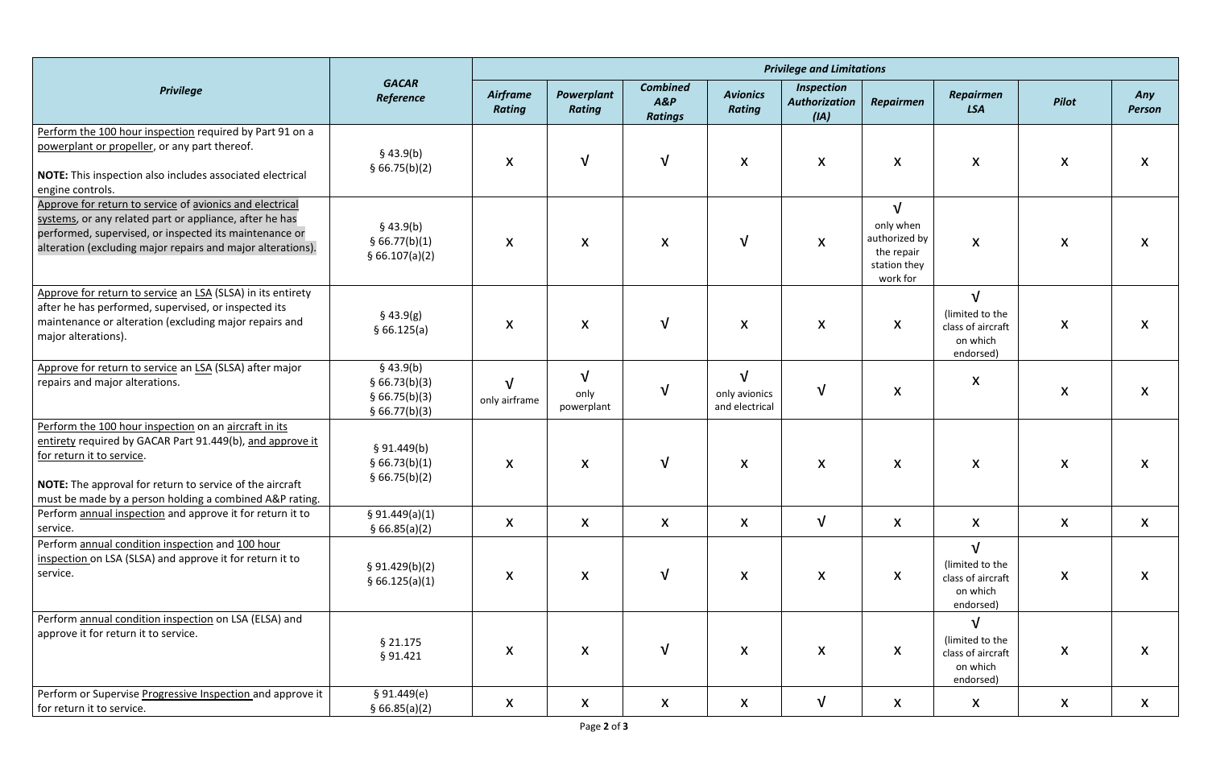| <b>Privilege</b>                                                                                                                                                                                                                                                       | <b>GACAR</b><br>Reference                                      | <b>Privilege and Limitations</b> |                                 |                                             |                                               |                                                   |                                                                                    |                                                                             |                           |                           |  |
|------------------------------------------------------------------------------------------------------------------------------------------------------------------------------------------------------------------------------------------------------------------------|----------------------------------------------------------------|----------------------------------|---------------------------------|---------------------------------------------|-----------------------------------------------|---------------------------------------------------|------------------------------------------------------------------------------------|-----------------------------------------------------------------------------|---------------------------|---------------------------|--|
|                                                                                                                                                                                                                                                                        |                                                                | Airframe<br><b>Rating</b>        | Powerplant<br>Rating            | <b>Combined</b><br>$A\&P$<br><b>Ratings</b> | <b>Avionics</b><br><b>Rating</b>              | <b>Inspection</b><br><b>Authorization</b><br>(IA) | <b>Repairmen</b>                                                                   | <b>Repairmen</b><br><b>LSA</b>                                              | Pilot                     | Any<br><b>Person</b>      |  |
| Perform the 100 hour inspection required by Part 91 on a<br>powerplant or propeller, or any part thereof.<br>NOTE: This inspection also includes associated electrical<br>engine controls.                                                                             | \$43.9(b)<br>§ 66.75(b)(2)                                     | X                                | $\sqrt{ }$                      | $\sqrt{ }$                                  | X                                             | $\boldsymbol{\mathsf{X}}$                         | $\boldsymbol{X}$                                                                   | $\boldsymbol{\mathsf{X}}$                                                   | X                         | $\boldsymbol{\mathsf{X}}$ |  |
| Approve for return to service of avionics and electrical<br>systems, or any related part or appliance, after he has<br>performed, supervised, or inspected its maintenance or<br>alteration (excluding major repairs and major alterations).                           | \$43.9(b)<br>§ 66.77(b)(1)<br>\$66.107(a)(2)                   | $\boldsymbol{\mathsf{X}}$        | X                               | $\boldsymbol{\mathsf{X}}$                   | $\mathbf v$                                   | $\boldsymbol{\mathsf{X}}$                         | $\sqrt{ }$<br>only when<br>authorized by<br>the repair<br>station they<br>work for | $\boldsymbol{\mathsf{X}}$                                                   | $\boldsymbol{\mathsf{X}}$ | X                         |  |
| Approve for return to service an LSA (SLSA) in its entirety<br>after he has performed, supervised, or inspected its<br>maintenance or alteration (excluding major repairs and<br>major alterations).                                                                   | \$43.9(g)<br>§66.125(a)                                        | X                                | X                               | $\sqrt{ }$                                  | X                                             | X                                                 | X                                                                                  | $\sqrt{ }$<br>(limited to the<br>class of aircraft<br>on which<br>endorsed) | X                         | X                         |  |
| Approve for return to service an LSA (SLSA) after major<br>repairs and major alterations.                                                                                                                                                                              | $§$ 43.9(b)<br>§ 66.73(b)(3)<br>§ 66.75(b)(3)<br>§ 66.77(b)(3) | $\sqrt{ }$<br>only airframe      | $\sqrt{}$<br>only<br>powerplant | $\sqrt{ }$                                  | $\sqrt{ }$<br>only avionics<br>and electrical | $\sqrt{ }$                                        | $\boldsymbol{X}$                                                                   | $\boldsymbol{\mathsf{X}}$                                                   | $\boldsymbol{\mathsf{X}}$ | X                         |  |
| Perform the 100 hour inspection on an aircraft in its<br>entirety required by GACAR Part 91.449(b), and approve it<br>for return it to service.<br>NOTE: The approval for return to service of the aircraft<br>must be made by a person holding a combined A&P rating. | § 91.449(b)<br>§ 66.73(b)(1)<br>§ 66.75(b)(2)                  | $\boldsymbol{\mathsf{X}}$        | X                               | $\sqrt{ }$                                  | $\boldsymbol{X}$                              | $\boldsymbol{X}$                                  | X                                                                                  | $\boldsymbol{\mathsf{X}}$                                                   | $\boldsymbol{X}$          | $\boldsymbol{\mathsf{X}}$ |  |
| Perform annual inspection and approve it for return it to<br>service.                                                                                                                                                                                                  | § 91.449(a)(1)<br>\$66.85(a)(2)                                | X                                | X                               | $\boldsymbol{\mathsf{X}}$                   | X                                             | $\sqrt{ }$                                        | $\boldsymbol{\mathsf{X}}$                                                          | $\boldsymbol{\mathsf{X}}$                                                   | X                         | $\boldsymbol{\mathsf{X}}$ |  |
| Perform annual condition inspection and 100 hour<br>inspection on LSA (SLSA) and approve it for return it to<br>service.                                                                                                                                               | \$91.429(b)(2)<br>§ 66.125(a)(1)                               | X                                | X                               | $\sqrt{ }$                                  | $\boldsymbol{X}$                              | $\boldsymbol{X}$                                  | $\boldsymbol{X}$                                                                   | $\sqrt{ }$<br>(limited to the<br>class of aircraft<br>on which<br>endorsed) | $\boldsymbol{X}$          | $\boldsymbol{\mathsf{X}}$ |  |
| Perform annual condition inspection on LSA (ELSA) and<br>approve it for return it to service.                                                                                                                                                                          | $§$ 21.175<br>§ 91.421                                         | X                                | X                               | $\sqrt{ }$                                  | X                                             | X                                                 | X                                                                                  | $\sqrt{ }$<br>(limited to the<br>class of aircraft<br>on which<br>endorsed) | X                         | X                         |  |
| Perform or Supervise Progressive Inspection and approve it<br>for return it to service.                                                                                                                                                                                | \$91.449(e)<br>§ 66.85(a)(2)                                   | X                                | X                               | $\boldsymbol{X}$                            | X                                             | $\sqrt{ }$                                        | X                                                                                  | X                                                                           | X                         | $\boldsymbol{\mathsf{X}}$ |  |